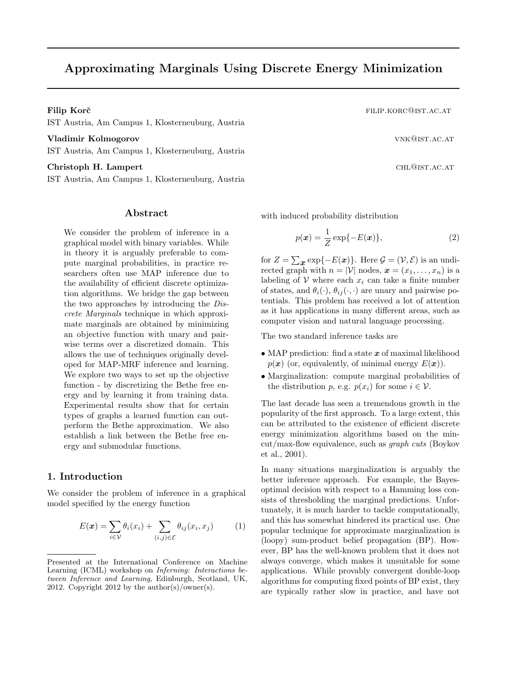# Approximating Marginals Using Discrete Energy Minimization

IST Austria, Am Campus 1, Klosterneuburg, Austria

Vladimir Kolmogorov variation of the contract of the visit of the visit of the visit of the visit of the visit of the visit of the visit of the visit of the visit of the visit of the visit of the visit of the visit of the

IST Austria, Am Campus 1, Klosterneuburg, Austria

Christoph H. Lampert CHL@IST.AC.AT

IST Austria, Am Campus 1, Klosterneuburg, Austria

#### Abstract

We consider the problem of inference in a graphical model with binary variables. While in theory it is arguably preferable to compute marginal probabilities, in practice researchers often use MAP inference due to the availability of efficient discrete optimization algorithms. We bridge the gap between the two approaches by introducing the Discrete Marginals technique in which approximate marginals are obtained by minimizing an objective function with unary and pairwise terms over a discretized domain. This allows the use of techniques originally developed for MAP-MRF inference and learning. We explore two ways to set up the objective function - by discretizing the Bethe free energy and by learning it from training data. Experimental results show that for certain types of graphs a learned function can outperform the Bethe approximation. We also establish a link between the Bethe free energy and submodular functions.

# 1. Introduction

We consider the problem of inference in a graphical model specified by the energy function

$$
E(\boldsymbol{x}) = \sum_{i \in \mathcal{V}} \theta_i(x_i) + \sum_{(i,j) \in \mathcal{E}} \theta_{ij}(x_i, x_j)
$$
(1)

Filip Korč **filip.kor**č **filip.kor**c **filip.kor**c **filip.korc filip.korc filip.korc filip.korc filip.korc filip.korc filip.korc filip.korc filip.korc filip.korc filip.korc filip.korc filip.korc fi** 

with induced probability distribution

$$
p(\boldsymbol{x}) = \frac{1}{Z} \exp\{-E(\boldsymbol{x})\},\tag{2}
$$

for  $Z = \sum_{\mathbf{x}} \exp\{-E(\mathbf{x})\}$ . Here  $\mathcal{G} = (\mathcal{V}, \mathcal{E})$  is an undirected graph with  $n = |\mathcal{V}|$  nodes,  $\mathbf{x} = (x_1, \dots, x_n)$  is a labeling of  $V$  where each  $x_i$  can take a finite number of states, and  $\theta_i(\cdot)$ ,  $\theta_{ij}(\cdot, \cdot)$  are unary and pairwise potentials. This problem has received a lot of attention as it has applications in many different areas, such as computer vision and natural language processing.

The two standard inference tasks are

- MAP prediction: find a state  $x$  of maximal likelihood  $p(x)$  (or, equivalently, of minimal energy  $E(x)$ ).
- Marginalization: compute marginal probabilities of the distribution p, e.g.  $p(x_i)$  for some  $i \in \mathcal{V}$ .

The last decade has seen a tremendous growth in the popularity of the first approach. To a large extent, this can be attributed to the existence of efficient discrete energy minimization algorithms based on the mincut/max-flow equivalence, such as graph cuts (Boykov et al., 2001).

In many situations marginalization is arguably the better inference approach. For example, the Bayesoptimal decision with respect to a Hamming loss consists of thresholding the marginal predictions. Unfortunately, it is much harder to tackle computationally, and this has somewhat hindered its practical use. One popular technique for approximate marginalization is (loopy) sum-product belief propagation (BP). However, BP has the well-known problem that it does not always converge, which makes it unsuitable for some applications. While provably convergent double-loop algorithms for computing fixed points of BP exist, they are typically rather slow in practice, and have not

Presented at the International Conference on Machine Learning (ICML) workshop on Inferning: Interactions between Inference and Learning, Edinburgh, Scotland, UK, 2012. Copyright 2012 by the author(s)/owner(s).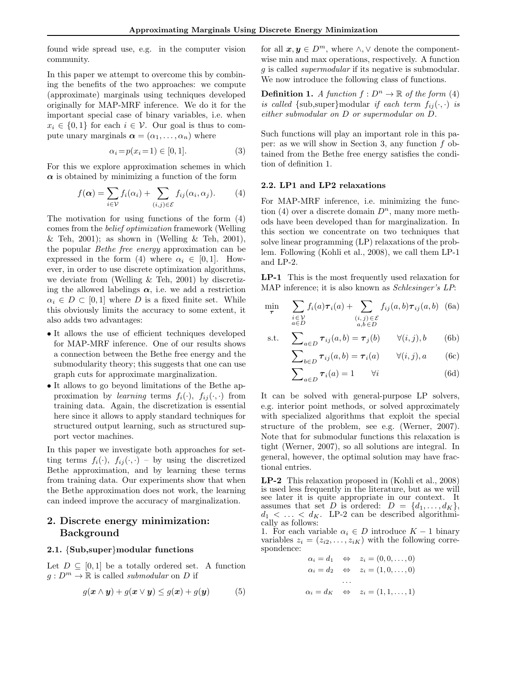found wide spread use, e.g. in the computer vision community.

In this paper we attempt to overcome this by combining the benefits of the two approaches: we compute (approximate) marginals using techniques developed originally for MAP-MRF inference. We do it for the important special case of binary variables, i.e. when  $x_i \in \{0,1\}$  for each  $i \in \mathcal{V}$ . Our goal is thus to compute unary marginals  $\boldsymbol{\alpha} = (\alpha_1, \dots, \alpha_n)$  where

$$
\alpha_i = p(x_i = 1) \in [0, 1]. \tag{3}
$$

For this we explore approximation schemes in which  $\alpha$  is obtained by minimizing a function of the form

$$
f(\alpha) = \sum_{i \in \mathcal{V}} f_i(\alpha_i) + \sum_{(i,j) \in \mathcal{E}} f_{ij}(\alpha_i, \alpha_j). \tag{4}
$$

The motivation for using functions of the form (4) comes from the belief optimization framework (Welling & Teh, 2001); as shown in (Welling & Teh, 2001), the popular Bethe free energy approximation can be expressed in the form (4) where  $\alpha_i \in [0,1]$ . However, in order to use discrete optimization algorithms, we deviate from (Welling & Teh, 2001) by discretizing the allowed labelings  $\alpha$ , i.e. we add a restriction  $\alpha_i \in D \subset [0,1]$  where D is a fixed finite set. While this obviously limits the accuracy to some extent, it also adds two advantages:

- It allows the use of efficient techniques developed for MAP-MRF inference. One of our results shows a connection between the Bethe free energy and the submodularity theory; this suggests that one can use graph cuts for approximate marginalization.
- It allows to go beyond limitations of the Bethe approximation by learning terms  $f_i(\cdot), f_{ij}(\cdot, \cdot)$  from training data. Again, the discretization is essential here since it allows to apply standard techniques for structured output learning, such as structured support vector machines.

In this paper we investigate both approaches for setting terms  $f_i(\cdot)$ ,  $f_{ij}(\cdot, \cdot)$  – by using the discretized Bethe approximation, and by learning these terms from training data. Our experiments show that when the Bethe approximation does not work, the learning can indeed improve the accuracy of marginalization.

# 2. Discrete energy minimization: Background

#### 2.1. {Sub,super}modular functions

Let  $D \subseteq [0,1]$  be a totally ordered set. A function  $q: D^m \to \mathbb{R}$  is called *submodular* on D if

$$
g(\mathbf{x} \wedge \mathbf{y}) + g(\mathbf{x} \vee \mathbf{y}) \le g(\mathbf{x}) + g(\mathbf{y}) \tag{5}
$$

for all  $x, y \in D^m$ , where  $\wedge$ ,  $\vee$  denote the componentwise min and max operations, respectively. A function g is called supermodular if its negative is submodular. We now introduce the following class of functions.

**Definition 1.** A function  $f: D^n \to \mathbb{R}$  of the form (4) is called {sub, super}modular if each term  $f_{ij}(\cdot, \cdot)$  is either submodular on D or supermodular on D.

Such functions will play an important role in this paper: as we will show in Section 3, any function f obtained from the Bethe free energy satisfies the condition of definition 1.

#### 2.2. LP1 and LP2 relaxations

For MAP-MRF inference, i.e. minimizing the function (4) over a discrete domain  $D^n$ , many more methods have been developed than for marginalization. In this section we concentrate on two techniques that solve linear programming (LP) relaxations of the problem. Following (Kohli et al., 2008), we call them LP-1 and LP-2.

LP-1 This is the most frequently used relaxation for MAP inference; it is also known as Schlesinger's LP:

$$
\min_{\boldsymbol{\tau}} \sum_{\substack{i \in \mathcal{V} \\ a \in D}} f_i(a) \boldsymbol{\tau}_i(a) + \sum_{\substack{(i,j) \in \mathcal{E} \\ a, b \in D}} f_{ij}(a, b) \boldsymbol{\tau}_{ij}(a, b) \tag{6a}
$$

s.t. 
$$
\sum_{a \in D} \tau_{ij}(a, b) = \tau_j(b) \qquad \forall (i, j), b \qquad (6b)
$$

$$
\sum_{b \in D} \tau_{ij}(a, b) = \tau_i(a) \qquad \forall (i, j), a \qquad (6c)
$$

$$
\sum_{a \in D} \tau_i(a) = 1 \qquad \forall i \tag{6d}
$$

It can be solved with general-purpose LP solvers, e.g. interior point methods, or solved approximately with specialized algorithms that exploit the special structure of the problem, see e.g. (Werner, 2007). Note that for submodular functions this relaxation is tight (Werner, 2007), so all solutions are integral. In general, however, the optimal solution may have fractional entries.

LP-2 This relaxation proposed in (Kohli et al., 2008) is used less frequently in the literature, but as we will see later it is quite appropriate in our context. It assumes that set D is ordered:  $D = \{d_1, \ldots, d_K\},\$  $d_1 < \ldots < d_K$ . LP-2 can be described algorithmically as follows:

1. For each variable  $\alpha_i \in D$  introduce  $K - 1$  binary variables  $z_i = (z_{i2}, \ldots, z_{iK})$  with the following correspondence:

$$
\alpha_i = d_1 \Leftrightarrow z_i = (0, 0, \dots, 0)
$$
  
\n
$$
\alpha_i = d_2 \Leftrightarrow z_i = (1, 0, \dots, 0)
$$
  
\n
$$
\dots
$$
  
\n
$$
\alpha_i = d_K \Leftrightarrow z_i = (1, 1, \dots, 1)
$$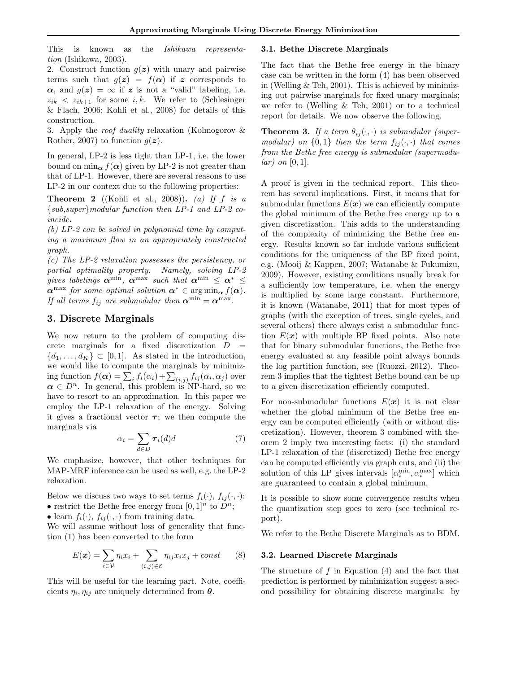This is known as the Ishikawa representation (Ishikawa, 2003).

2. Construct function  $g(z)$  with unary and pairwise terms such that  $g(z) = f(\alpha)$  if z corresponds to  $\alpha$ , and  $g(z) = \infty$  if z is not a "valid" labeling, i.e.  $z_{ik}$  <  $z_{ik+1}$  for some i, k. We refer to (Schlesinger & Flach, 2006; Kohli et al., 2008) for details of this construction.

3. Apply the roof duality relaxation (Kolmogorov & Rother, 2007) to function  $g(z)$ .

In general, LP-2 is less tight than LP-1, i.e. the lower bound on  $\min_{\alpha} f(\alpha)$  given by LP-2 is not greater than that of LP-1. However, there are several reasons to use LP-2 in our context due to the following properties:

**Theorem 2** ((Kohli et al., 2008)). (a) If f is a {sub,super}modular function then LP-1 and LP-2 coincide.

(b) LP-2 can be solved in polynomial time by computing a maximum flow in an appropriately constructed graph.

(c) The LP-2 relaxation possesses the persistency, or partial optimality property. Namely, solving LP-2 gives labelings  $\boldsymbol{\alpha}^{\min}$ ,  $\boldsymbol{\alpha}^{\max}$  such that  $\boldsymbol{\alpha}^{\min} \leq \boldsymbol{\alpha}^* \leq$  $\boldsymbol{\alpha}^{\text{max}}$  for some optimal solution  $\boldsymbol{\alpha}^* \in \arg \min_{\boldsymbol{\alpha}} f(\boldsymbol{\alpha})$ . If all terms  $f_{ij}$  are submodular then  $\alpha^{\min} = \alpha^{\max}$ .

# 3. Discrete Marginals

We now return to the problem of computing discrete marginals for a fixed discretization  $D =$  $\{d_1, \ldots, d_K\} \subset [0,1]$ . As stated in the introduction, we would like to compute the marginals by minimizing function  $f(\boldsymbol{\alpha}) = \sum_i f_i(\alpha_i) + \sum_{(i,j)} f_{ij}(\alpha_i, \alpha_j)$  over  $\alpha \in D^n$ . In general, this problem is NP-hard, so we have to resort to an approximation. In this paper we employ the LP-1 relaxation of the energy. Solving it gives a fractional vector  $\tau$ ; we then compute the marginals via

$$
\alpha_i = \sum_{d \in D} \tau_i(d)d \tag{7}
$$

We emphasize, however, that other techniques for MAP-MRF inference can be used as well, e.g. the LP-2 relaxation.

Below we discuss two ways to set terms  $f_i(\cdot), f_{ij}(\cdot, \cdot)$ :

• restrict the Bethe free energy from  $[0, 1]^n$  to  $D^n$ ;

• learn  $f_i(\cdot)$ ,  $f_{ij}(\cdot, \cdot)$  from training data.

We will assume without loss of generality that function (1) has been converted to the form

$$
E(\boldsymbol{x}) = \sum_{i \in \mathcal{V}} \eta_i x_i + \sum_{(i,j) \in \mathcal{E}} \eta_{ij} x_i x_j + const \qquad (8)
$$

This will be useful for the learning part. Note, coefficients  $\eta_i, \eta_{ij}$  are uniquely determined from  $\boldsymbol{\theta}$ .

#### 3.1. Bethe Discrete Marginals

The fact that the Bethe free energy in the binary case can be written in the form (4) has been observed in (Welling  $&$  Teh, 2001). This is achieved by minimizing out pairwise marginals for fixed unary marginals; we refer to (Welling & Teh, 2001) or to a technical report for details. We now observe the following.

**Theorem 3.** If a term  $\theta_{ij}(\cdot, \cdot)$  is submodular (supermodular) on  $\{0,1\}$  then the term  $f_{ij}(\cdot,\cdot)$  that comes from the Bethe free energy is submodular (supermodu $lar)$  on  $[0, 1]$ .

A proof is given in the technical report. This theorem has several implications. First, it means that for submodular functions  $E(x)$  we can efficiently compute the global minimum of the Bethe free energy up to a given discretization. This adds to the understanding of the complexity of minimizing the Bethe free energy. Results known so far include various sufficient conditions for the uniqueness of the BP fixed point, e.g. (Mooij & Kappen, 2007; Watanabe & Fukumizu, 2009). However, existing conditions usually break for a sufficiently low temperature, i.e. when the energy is multiplied by some large constant. Furthermore, it is known (Watanabe, 2011) that for most types of graphs (with the exception of trees, single cycles, and several others) there always exist a submodular function  $E(x)$  with multiple BP fixed points. Also note that for binary submodular functions, the Bethe free energy evaluated at any feasible point always bounds the log partition function, see (Ruozzi, 2012). Theorem 3 implies that the tightest Bethe bound can be up to a given discretization efficiently computed.

For non-submodular functions  $E(x)$  it is not clear whether the global minimum of the Bethe free energy can be computed efficiently (with or without discretization). However, theorem 3 combined with theorem 2 imply two interesting facts: (i) the standard LP-1 relaxation of the (discretized) Bethe free energy can be computed efficiently via graph cuts, and (ii) the solution of this LP gives intervals  $[\alpha_i^{\min}, \alpha_i^{\max}]$  which are guaranteed to contain a global minimum.

It is possible to show some convergence results when the quantization step goes to zero (see technical report).

We refer to the Bethe Discrete Marginals as to BDM.

#### 3.2. Learned Discrete Marginals

The structure of  $f$  in Equation  $(4)$  and the fact that prediction is performed by minimization suggest a second possibility for obtaining discrete marginals: by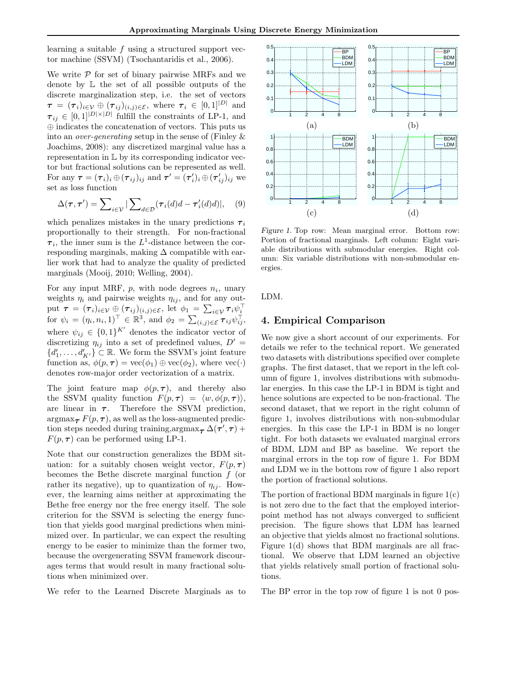learning a suitable f using a structured support vector machine (SSVM) (Tsochantaridis et al., 2006).

We write  $P$  for set of binary pairwise MRFs and we denote by L the set of all possible outputs of the discrete marginalization step, i.e. the set of vectors  $\tau = (\tau_i)_{i \in \mathcal{V}} \oplus (\tau_{ij})_{(i,j) \in \mathcal{E}}$ , where  $\tau_i \in [0,1]^{|\mathcal{D}|}$  and  $\tau_{ij} \in [0,1]^{|\mathcal{D}| \times |\mathcal{D}|}$  fulfill the constraints of LP-1, and ⊕ indicates the concatenation of vectors. This puts us into an *over-generating* setup in the sense of (Finley  $\&$ Joachims, 2008): any discretized marginal value has a representation in L by its corresponding indicator vector but fractional solutions can be represented as well. For any  $\boldsymbol{\tau} = (\boldsymbol{\tau}_i)_i \oplus (\boldsymbol{\tau}_{ij})_{ij}$  and  $\boldsymbol{\tau}' = (\boldsymbol{\tau}'_i)_i \oplus (\boldsymbol{\tau}'_{ij})_{ij}$  we set as loss function

$$
\Delta(\boldsymbol{\tau}, \boldsymbol{\tau}') = \sum_{i \in \mathcal{V}} |\sum_{d \in \mathcal{D}} (\boldsymbol{\tau}_i(d)d - \boldsymbol{\tau}'_i(d)d)|, \quad (9)
$$

which penalizes mistakes in the unary predictions  $\tau_i$ proportionally to their strength. For non-fractional  $\tau_i$ , the inner sum is the L<sup>1</sup>-distance between the corresponding marginals, making  $\Delta$  compatible with earlier work that had to analyze the quality of predicted marginals (Mooij, 2010; Welling, 2004).

For any input MRF,  $p$ , with node degrees  $n_i$ , unary weights  $\eta_i$  and pairwise weights  $\eta_{ij}$ , and for any output  $\bm{\tau} = (\bm{\tau}_i)_{i \in \mathcal{V}} \oplus (\bm{\tau}_{ij})_{(i,j) \in \mathcal{E}}, \text{ let } \phi_1 = \sum_{i \in \mathcal{V}} \bm{\tau}_i \psi_i^{\top}$ for  $\psi_i = (\eta_i, n_i, 1)^\top \in \mathbb{R}^3$ , and  $\phi_2 = \sum_{(i,j) \in \mathcal{E}} \tau_{ij} \psi_{ij}^\top$ , where  $\psi_{ij} \in \{0,1\}^{K'}$  denotes the indicator vector of discretizing  $\eta_{ij}$  into a set of predefined values,  $D' =$  ${d'_1, \ldots, d'_{K'}}\subset \mathbb{R}$ . We form the SSVM's joint feature function as,  $\phi(p, \tau) = \text{vec}(\phi_1) \oplus \text{vec}(\phi_2)$ , where  $\text{vec}(\cdot)$ denotes row-major order vectorization of a matrix.

The joint feature map  $\phi(p, \tau)$ , and thereby also the SSVM quality function  $F(p, \tau) = \langle w, \phi(p, \tau) \rangle$ , are linear in  $\tau$ . Therefore the SSVM prediction,  $argmax_{\tau} F(p, \tau)$ , as well as the loss-augmented prediction steps needed during training,argmax $_{\boldsymbol{\tau}}$   $\Delta(\boldsymbol{\tau}',\boldsymbol{\tau})$  +  $F(p, \tau)$  can be performed using LP-1.

Note that our construction generalizes the BDM situation: for a suitably chosen weight vector,  $F(p, \tau)$ becomes the Bethe discrete marginal function  $f$  (or rather its negative), up to quantization of  $\eta_{ij}$ . However, the learning aims neither at approximating the Bethe free energy nor the free energy itself. The sole criterion for the SSVM is selecting the energy function that yields good marginal predictions when minimized over. In particular, we can expect the resulting energy to be easier to minimize than the former two, because the overgenerating SSVM framework discourages terms that would result in many fractional solutions when minimized over.

We refer to the Learned Discrete Marginals as to



Figure 1. Top row: Mean marginal error. Bottom row: Portion of fractional marginals. Left column: Eight variable distributions with submodular energies. Right column: Six variable distributions with non-submodular energies.

LDM.

## 4. Empirical Comparison

We now give a short account of our experiments. For details we refer to the technical report. We generated two datasets with distributions specified over complete graphs. The first dataset, that we report in the left column of figure 1, involves distributions with submodular energies. In this case the LP-1 in BDM is tight and hence solutions are expected to be non-fractional. The second dataset, that we report in the right column of figure 1, involves distributions with non-submodular energies. In this case the LP-1 in BDM is no longer tight. For both datasets we evaluated marginal errors of BDM, LDM and BP as baseline. We report the marginal errors in the top row of figure 1. For BDM and LDM we in the bottom row of figure 1 also report the portion of fractional solutions.

The portion of fractional BDM marginals in figure  $1(c)$ is not zero due to the fact that the employed interiorpoint method has not always converged to sufficient precision. The figure shows that LDM has learned an objective that yields almost no fractional solutions. Figure 1(d) shows that BDM marginals are all fractional. We observe that LDM learned an objective that yields relatively small portion of fractional solutions.

The BP error in the top row of figure 1 is not 0 pos-